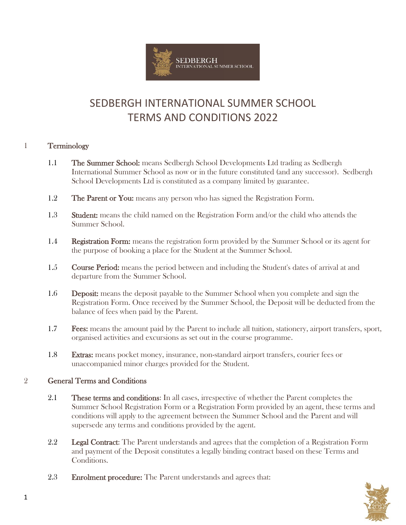

# SEDBERGH INTERNATIONAL SUMMER SCHOOL TERMS AND CONDITIONS 2022

## 1 Terminology

- 1.1 The Summer School: means Sedbergh School Developments Ltd trading as Sedbergh International Summer School as now or in the future constituted (and any successor). Sedbergh School Developments Ltd is constituted as a company limited by guarantee.
- 1.2 The Parent or You: means any person who has signed the Registration Form.
- 1.3 **Student:** means the child named on the Registration Form and/or the child who attends the Summer School.
- 1.4 Registration Form: means the registration form provided by the Summer School or its agent for the purpose of booking a place for the Student at the Summer School.
- 1.5 Course Period: means the period between and including the Student's dates of arrival at and departure from the Summer School.
- 1.6 Deposit: means the deposit payable to the Summer School when you complete and sign the Registration Form. Once received by the Summer School, the Deposit will be deducted from the balance of fees when paid by the Parent.
- 1.7 **Fees:** means the amount paid by the Parent to include all tuition, stationery, airport transfers, sport, organised activities and excursions as set out in the course programme.
- 1.8 Extras: means pocket money, insurance, non-standard airport transfers, courier fees or unaccompanied minor charges provided for the Student.

#### 2 General Terms and Conditions

- 2.1 These terms and conditions: In all cases, irrespective of whether the Parent completes the Summer School Registration Form or a Registration Form provided by an agent, these terms and conditions will apply to the agreement between the Summer School and the Parent and will supersede any terms and conditions provided by the agent.
- 2.2 Legal Contract: The Parent understands and agrees that the completion of a Registration Form and payment of the Deposit constitutes a legally binding contract based on these Terms and Conditions.
- 2.3 Enrolment procedure: The Parent understands and agrees that:

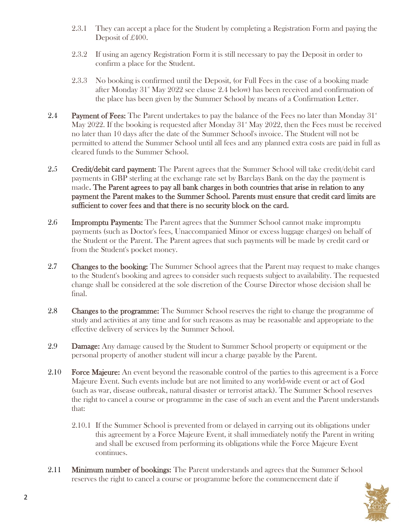- 2.3.1 They can accept a place for the Student by completing a Registration Form and paying the Deposit of £400.
- 2.3.2 If using an agency Registration Form it is still necessary to pay the Deposit in order to confirm a place for the Student.
- 2.3.3 No booking is confirmed until the Deposit, (or Full Fees in the case of a booking made after Monday  $31^{\circ}$  May 2022 see clause 2.4 below) has been received and confirmation of the place has been given by the Summer School by means of a Confirmation Letter.
- 2.4 Payment of Fees: The Parent undertakes to pay the balance of the Fees no later than Monday 31<sup>st</sup> May 2022. If the booking is requested after Monday  $31^{\circ}$  May 2022, then the Fees must be received no later than 10 days after the date of the Summer School's invoice. The Student will not be permitted to attend the Summer School until all fees and any planned extra costs are paid in full as cleared funds to the Summer School.
- 2.5 Credit/debit card payment: The Parent agrees that the Summer School will take credit/debit card payments in GBP sterling at the exchange rate set by Barclays Bank on the day the payment is made. The Parent agrees to pay all bank charges in both countries that arise in relation to any payment the Parent makes to the Summer School. Parents must ensure that credit card limits are sufficient to cover fees and that there is no security block on the card.
- 2.6 Impromptu Payments: The Parent agrees that the Summer School cannot make impromptu payments (such as Doctor's fees, Unaccompanied Minor or excess luggage charges) on behalf of the Student or the Parent. The Parent agrees that such payments will be made by credit card or from the Student's pocket money.
- 2.7 Changes to the booking: The Summer School agrees that the Parent may request to make changes to the Student's booking and agrees to consider such requests subject to availability. The requested change shall be considered at the sole discretion of the Course Director whose decision shall be final.
- 2.8 Changes to the programme: The Summer School reserves the right to change the programme of study and activities at any time and for such reasons as may be reasonable and appropriate to the effective delivery of services by the Summer School.
- 2.9 Damage: Any damage caused by the Student to Summer School property or equipment or the personal property of another student will incur a charge payable by the Parent.
- 2.10 **Force Majeure:** An event beyond the reasonable control of the parties to this agreement is a Force Majeure Event. Such events include but are not limited to any world-wide event or act of God (such as war, disease outbreak, natural disaster or terrorist attack). The Summer School reserves the right to cancel a course or programme in the case of such an event and the Parent understands that:
	- 2.10.1 If the Summer School is prevented from or delayed in carrying out its obligations under this agreement by a Force Majeure Event, it shall immediately notify the Parent in writing and shall be excused from performing its obligations while the Force Majeure Event continues.
- 2.11 **Minimum number of bookings:** The Parent understands and agrees that the Summer School reserves the right to cancel a course or programme before the commencement date if

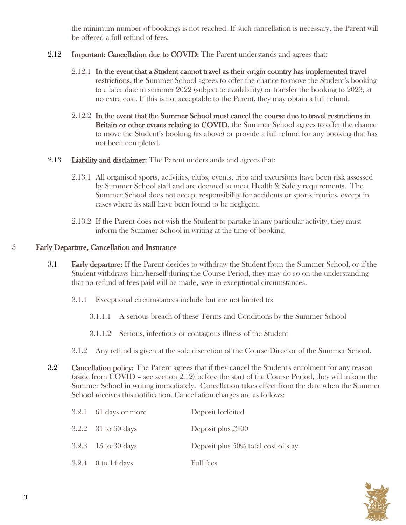the minimum number of bookings is not reached. If such cancellation is necessary, the Parent will be offered a full refund of fees.

- 2.12 Important: Cancellation due to COVID: The Parent understands and agrees that:
	- 2.12.1 In the event that a Student cannot travel as their origin country has implemented travel restrictions, the Summer School agrees to offer the chance to move the Student's booking to a later date in summer 2022 (subject to availability) or transfer the booking to 2023, at no extra cost. If this is not acceptable to the Parent, they may obtain a full refund.
	- 2.12.2 In the event that the Summer School must cancel the course due to travel restrictions in Britain or other events relating to COVID, the Summer School agrees to offer the chance to move the Student's booking (as above) or provide a full refund for any booking that has not been completed.
- 2.13 Liability and disclaimer: The Parent understands and agrees that:
	- 2.13.1 All organised sports, activities, clubs, events, trips and excursions have been risk assessed by Summer School staff and are deemed to meet Health & Safety requirements. The Summer School does not accept responsibility for accidents or sports injuries, except in cases where its staff have been found to be negligent.
	- 2.13.2 If the Parent does not wish the Student to partake in any particular activity, they must inform the Summer School in writing at the time of booking.

### 3 Early Departure, Cancellation and Insurance

- 3.1 Early departure: If the Parent decides to withdraw the Student from the Summer School, or if the Student withdraws him/herself during the Course Period, they may do so on the understanding that no refund of fees paid will be made, save in exceptional circumstances.
	- 3.1.1 Exceptional circumstances include but are not limited to:
		- 3.1.1.1 A serious breach of these Terms and Conditions by the Summer School
		- 3.1.1.2 Serious, infectious or contagious illness of the Student
	- 3.1.2 Any refund is given at the sole discretion of the Course Director of the Summer School.
- 3.2 Cancellation policy: The Parent agrees that if they cancel the Student's enrolment for any reason (aside from COVID – see section 2.12) before the start of the Course Period, they will inform the Summer School in writing immediately. Cancellation takes effect from the date when the Summer School receives this notification. Cancellation charges are as follows:

| 3.2.1 61 days or more | Deposit forfeited                   |
|-----------------------|-------------------------------------|
| 3.2.2 31 to 60 days   | Deposit plus $\text{\pounds}400$    |
| 3.2.3 15 to 30 days   | Deposit plus 50% total cost of stay |
| $3.2.4$ 0 to 14 days  | <b>Full fees</b>                    |

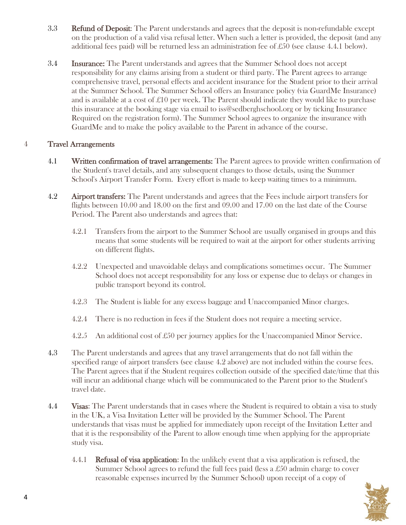- 3.3 Refund of Deposit: The Parent understands and agrees that the deposit is non-refundable except on the production of a valid visa refusal letter. When such a letter is provided, the deposit (and any additional fees paid) will be returned less an administration fee of £50 (see clause 4.4.1 below).
- 3.4 Insurance: The Parent understands and agrees that the Summer School does not accept responsibility for any claims arising from a student or third party. The Parent agrees to arrange comprehensive travel, personal effects and accident insurance for the Student prior to their arrival at the Summer School. The Summer School offers an Insurance policy (via GuardMe Insurance) and is available at a cost of £10 per week. The Parent should indicate they would like to purchase this insurance at the booking stage via email to iss@sedberghschool.org or by ticking Insurance Required on the registration form). The Summer School agrees to organize the insurance with GuardMe and to make the policy available to the Parent in advance of the course.

#### 4 Travel Arrangements

- 4.1 Written confirmation of travel arrangements: The Parent agrees to provide written confirmation of the Student's travel details, and any subsequent changes to those details, using the Summer School's Airport Transfer Form. Every effort is made to keep waiting times to a minimum.
- 4.2 **Airport transfers:** The Parent understands and agrees that the Fees include airport transfers for flights between 10.00 and 18.00 on the first and 09.00 and 17.00 on the last date of the Course Period. The Parent also understands and agrees that:
	- 4.2.1 Transfers from the airport to the Summer School are usually organised in groups and this means that some students will be required to wait at the airport for other students arriving on different flights.
	- 4.2.2 Unexpected and unavoidable delays and complications sometimes occur. The Summer School does not accept responsibility for any loss or expense due to delays or changes in public transport beyond its control.
	- 4.2.3 The Student is liable for any excess baggage and Unaccompanied Minor charges.
	- 4.2.4 There is no reduction in fees if the Student does not require a meeting service.
	- 4.2.5 An additional cost of £50 per journey applies for the Unaccompanied Minor Service.
- 4.3 The Parent understands and agrees that any travel arrangements that do not fall within the specified range of airport transfers (see clause 4.2 above) are not included within the course fees. The Parent agrees that if the Student requires collection outside of the specified date/time that this will incur an additional charge which will be communicated to the Parent prior to the Student's travel date.
- 4.4 Visas: The Parent understands that in cases where the Student is required to obtain a visa to study in the UK, a Visa Invitation Letter will be provided by the Summer School. The Parent understands that visas must be applied for immediately upon receipt of the Invitation Letter and that it is the responsibility of the Parent to allow enough time when applying for the appropriate study visa.
	- 4.4.1 **Refusal of visa application:** In the unlikely event that a visa application is refused, the Summer School agrees to refund the full fees paid (less a  $\pounds 50$  admin charge to cover reasonable expenses incurred by the Summer School) upon receipt of a copy of

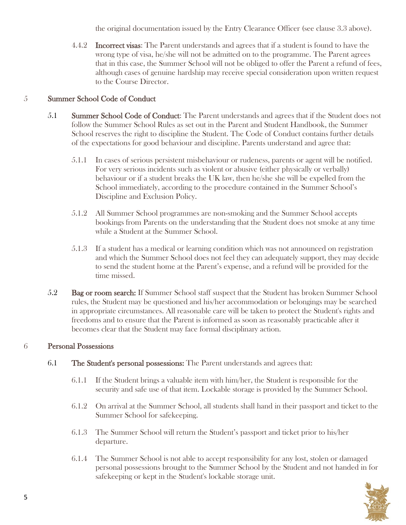the original documentation issued by the Entry Clearance Officer (see clause 3.3 above).

4.4.2 Incorrect visas: The Parent understands and agrees that if a student is found to have the wrong type of visa, he/she will not be admitted on to the programme. The Parent agrees that in this case, the Summer School will not be obliged to offer the Parent a refund of fees, although cases of genuine hardship may receive special consideration upon written request to the Course Director.

## 5 Summer School Code of Conduct

- 5.1 Summer School Code of Conduct: The Parent understands and agrees that if the Student does not follow the Summer School Rules as set out in the Parent and Student Handbook, the Summer School reserves the right to discipline the Student. The Code of Conduct contains further details of the expectations for good behaviour and discipline. Parents understand and agree that:
	- 5.1.1 In cases of serious persistent misbehaviour or rudeness, parents or agent will be notified. For very serious incidents such as violent or abusive (either physically or verbally) behaviour or if a student breaks the UK law, then he/she she will be expelled from the School immediately, according to the procedure contained in the Summer School's Discipline and Exclusion Policy.
	- 5.1.2 All Summer School programmes are non-smoking and the Summer School accepts bookings from Parents on the understanding that the Student does not smoke at any time while a Student at the Summer School.
	- 5.1.3 If a student has a medical or learning condition which was not announced on registration and which the Summer School does not feel they can adequately support, they may decide to send the student home at the Parent's expense, and a refund will be provided for the time missed.
- 5.2 Bag or room search: If Summer School staff suspect that the Student has broken Summer School rules, the Student may be questioned and his/her accommodation or belongings may be searched in appropriate circumstances. All reasonable care will be taken to protect the Student's rights and freedoms and to ensure that the Parent is informed as soon as reasonably practicable after it becomes clear that the Student may face formal disciplinary action.

## 6 Personal Possessions

- 6.1 The Student's personal possessions: The Parent understands and agrees that:
	- 6.1.1 If the Student brings a valuable item with him/her, the Student is responsible for the security and safe use of that item. Lockable storage is provided by the Summer School.
	- 6.1.2 On arrival at the Summer School, all students shall hand in their passport and ticket to the Summer School for safekeeping.
	- 6.1.3 The Summer School will return the Student's passport and ticket prior to his/her departure.
	- 6.1.4 The Summer School is not able to accept responsibility for any lost, stolen or damaged personal possessions brought to the Summer School by the Student and not handed in for safekeeping or kept in the Student's lockable storage unit.

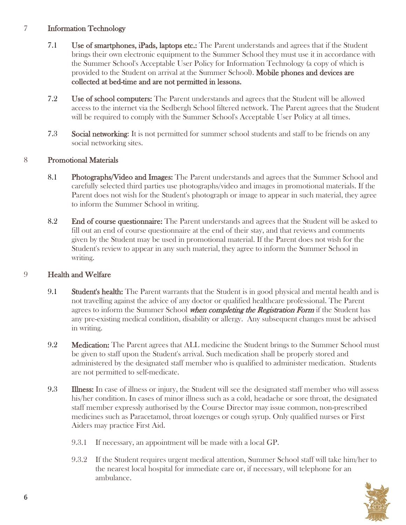### 7 Information Technology

- 7.1 Use of smartphones, iPads, laptops etc.: The Parent understands and agrees that if the Student brings their own electronic equipment to the Summer School they must use it in accordance with the Summer School's Acceptable User Policy for Information Technology (a copy of which is provided to the Student on arrival at the Summer School). Mobile phones and devices are collected at bed-time and are not permitted in lessons.
- 7.2 Use of school computers: The Parent understands and agrees that the Student will be allowed access to the internet via the Sedbergh School filtered network. The Parent agrees that the Student will be required to comply with the Summer School's Acceptable User Policy at all times.
- 7.3 Social networking: It is not permitted for summer school students and staff to be friends on any social networking sites.

#### 8 Promotional Materials

- 8.1 Photographs/Video and Images: The Parent understands and agrees that the Summer School and carefully selected third parties use photographs/video and images in promotional materials. If the Parent does not wish for the Student's photograph or image to appear in such material, they agree to inform the Summer School in writing.
- 8.2 End of course questionnaire: The Parent understands and agrees that the Student will be asked to fill out an end of course questionnaire at the end of their stay, and that reviews and comments given by the Student may be used in promotional material. If the Parent does not wish for the Student's review to appear in any such material, they agree to inform the Summer School in writing.

#### 9 Health and Welfare

- 9.1 Student's health: The Parent warrants that the Student is in good physical and mental health and is not travelling against the advice of any doctor or qualified healthcare professional. The Parent agrees to inform the Summer School when completing the Registration Form if the Student has any pre-existing medical condition, disability or allergy. Any subsequent changes must be advised in writing.
- 9.2 Medication: The Parent agrees that ALL medicine the Student brings to the Summer School must be given to staff upon the Student's arrival. Such medication shall be properly stored and administered by the designated staff member who is qualified to administer medication. Students are not permitted to self-medicate.
- 9.3 Illness: In case of illness or injury, the Student will see the designated staff member who will assess his/her condition. In cases of minor illness such as a cold, headache or sore throat, the designated staff member expressly authorised by the Course Director may issue common, non-prescribed medicines such as Paracetamol, throat lozenges or cough syrup. Only qualified nurses or First Aiders may practice First Aid.
	- 9.3.1 If necessary, an appointment will be made with a local GP.
	- 9.3.2 If the Student requires urgent medical attention, Summer School staff will take him/her to the nearest local hospital for immediate care or, if necessary, will telephone for an ambulance.